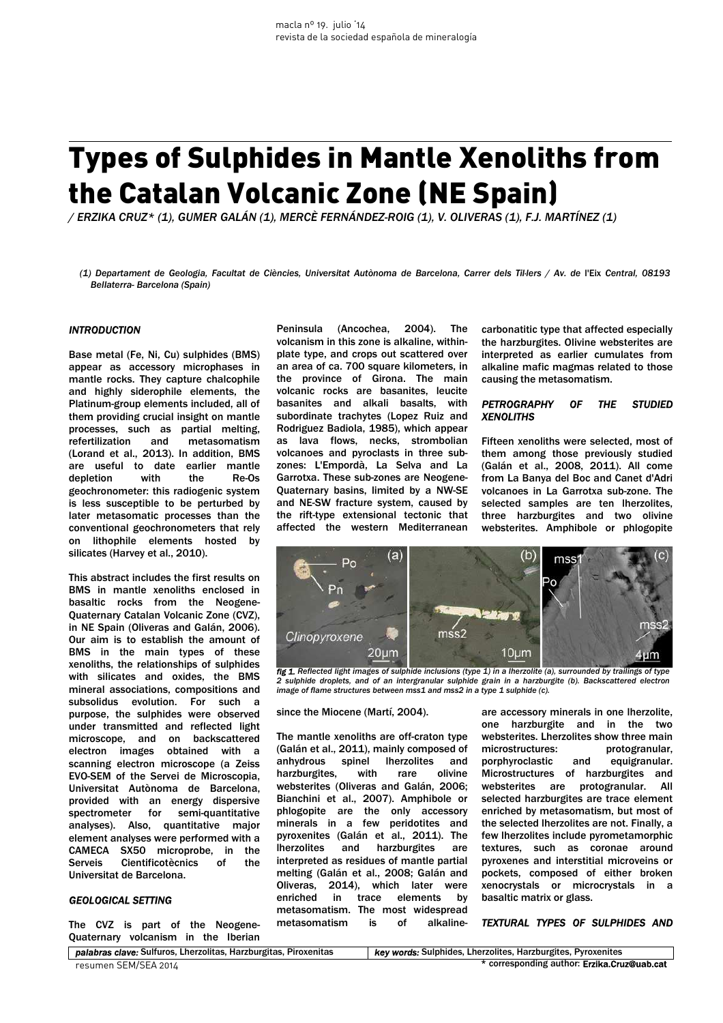# Types of Sulphides in Mantle Xenoliths from the Catalan Volcanic Zone (NE Spain)

*/ ERZIKA CRUZ\* (1), GUMER GALÁN (1), MERCÈ FERNÁNDEZ-ROIG (1), V. OLIVERAS (1), F.J. MARTÍNEZ (1)* 

*(1) Departament de Geologia, Facultat de Ciències, Universitat Autònoma de Barcelona, Carrer dels Til·lers / Av. de* l'Eix *Central, 08193 Bellaterra- Barcelona (Spain)* 

## *INTRODUCTION*

Base metal (Fe, Ni, Cu) sulphides (BMS) appear as accessory microphases in mantle rocks. They capture chalcophile and highly siderophile elements, the Platinum-group elements included, all of them providing crucial insight on mantle processes, such as partial melting, refertilization and metasomatism (Lorand et al., 2013). In addition, BMS are useful to date earlier mantle depletion with the Re-Os geochronometer: this radiogenic system is less susceptible to be perturbed by later metasomatic processes than the conventional geochronometers that rely on lithophile elements hosted by silicates (Harvey et al., 2010).

This abstract includes the first results on BMS in mantle xenoliths enclosed in basaltic rocks from the Neogene-Quaternary Catalan Volcanic Zone (CVZ), in NE Spain (Oliveras and Galán, 2006). Our aim is to establish the amount of BMS in the main types of these xenoliths, the relationships of sulphides with silicates and oxides, the BMS mineral associations, compositions and subsolidus evolution. For such a purpose, the sulphides were observed under transmitted and reflected light microscope, and on backscattered electron images obtained with a scanning electron microscope (a Zeiss EVO-SEM of the Servei de Microscopia, Universitat Autònoma de Barcelona, provided with an energy dispersive spectrometer for semi-quantitative analyses). Also, quantitative major element analyses were performed with a CAMECA SX50 microprobe, in the Serveis Cientificotècnics of the Universitat de Barcelona.

# *GEOLOGICAL SETTING*

The CVZ is part of the Neogene-Quaternary volcanism in the Iberian

Peninsula (Ancochea, 2004). The volcanism in this zone is alkaline, withinplate type, and crops out scattered over an area of ca. 700 square kilometers, in the province of Girona. The main volcanic rocks are basanites, leucite basanites and alkali basalts, with subordinate trachytes (Lopez Ruiz and Rodriguez Badiola, 1985), which appear as lava flows, necks, strombolian volcanoes and pyroclasts in three subzones: L'Empordà, La Selva and La Garrotxa. These sub-zones are Neogene-Quaternary basins, limited by a NW-SE and NE-SW fracture system, caused by the rift-type extensional tectonic that affected the western Mediterranean

carbonatitic type that affected especially the harzburgites. Olivine websterites are interpreted as earlier cumulates from alkaline mafic magmas related to those causing the metasomatism.

## *PETROGRAPHY OF THE STUDIED XENOLITHS*

Fifteen xenoliths were selected, most of them among those previously studied (Galán et al., 2008, 2011). All come from La Banya del Boc and Canet d'Adri volcanoes in La Garrotxa sub-zone. The selected samples are ten lherzolites, three harzburgites and two olivine websterites. Amphibole or phlogopite



*fig 1. Reflected light images of sulphide inclusions (type 1) in a lherzolite (a), surrounded by trailings of type 2 sulphide droplets, and of an intergranular sulphide grain in a harzburgite (b). Backscattered electron image of flame structures between mss1 and mss2 in a type 1 sulphide (c).*

#### since the Miocene (Martí, 2004).

The mantle xenoliths are off-craton type (Galán et al., 2011), mainly composed of anhydrous spinel lherzolites and harzburgites, with rare olivine websterites (Oliveras and Galán, 2006; Bianchini et al., 2007). Amphibole or phlogopite are the only accessory minerals in a few peridotites and pyroxenites (Galán et al., 2011). The lherzolites and harzburgites are interpreted as residues of mantle partial melting (Galán et al., 2008; Galán and Oliveras, 2014), which later were enriched in trace elements by metasomatism. The most widespread metasomatism is of alkaline-

are accessory minerals in one lherzolite, one harzburgite and in the two websterites. Lherzolites show three main microstructures: protogranular, porphyroclastic and equigranular. Microstructures of harzburgites and websterites are protogranular. All selected harzburgites are trace element enriched by metasomatism, but most of the selected lherzolites are not. Finally, a few lherzolites include pyrometamorphic textures, such as coronae around pyroxenes and interstitial microveins or pockets, composed of either broken xenocrystals or microcrystals in a basaltic matrix or glass.

## *TEXTURAL TYPES OF SULPHIDES AND*

*palabras clave:* Sulfuros, Lherzolitas, Harzburgitas, Piroxenitas *key words:* Sulphides, Lherzolites, Harzburgites, Pyroxenites resumen SEM/SEA 2014 **\*** corresponding author: **Erzika.Cruz@uab.cat**